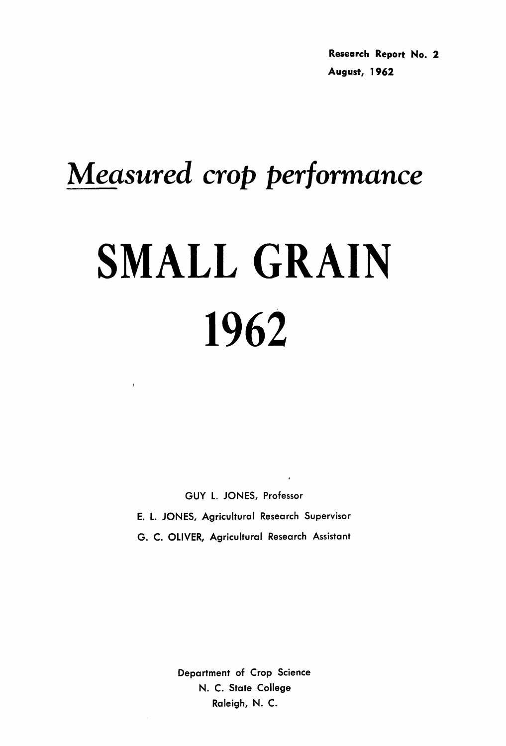# *Measured crop performance* SMALL GRAIN 1962

GUY L. JONES, Professor E. L. JONES, Agricultural Research Supervisor

G. C. OLIVER, Agricultural Research Assistant

Department of Crop Science N. C. State College Raleigh, N. C.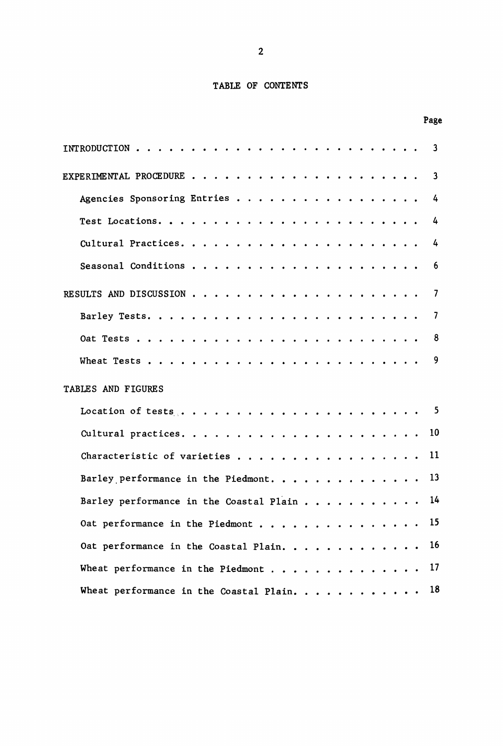# TABLE OF CONTENTS

Page

| 3<br>INTRODUCTION.                                                                            |
|-----------------------------------------------------------------------------------------------|
| 3                                                                                             |
| Agencies Sponsoring Entries<br>4                                                              |
| 4                                                                                             |
| 4                                                                                             |
| Seasonal Conditions<br>6<br>.                                                                 |
| 7                                                                                             |
| 7                                                                                             |
| 8                                                                                             |
| 9<br>Wheat Tests                                                                              |
| TABLES AND FIGURES                                                                            |
| -5                                                                                            |
| 10                                                                                            |
| 11<br>Characteristic of varieties                                                             |
| 13<br>Barley performance in the Piedmont.                                                     |
| 14<br>Barley performance in the Coastal Plain                                                 |
| 15<br>Oat performance in the Piedmont                                                         |
| 16<br>Oat performance in the Coastal Plain.                                                   |
| 17<br>Wheat performance in the Piedmont<br>$\mathbf{a}$ , and $\mathbf{a}$ , and $\mathbf{a}$ |
| 18<br>Wheat performance in the Coastal Plain.                                                 |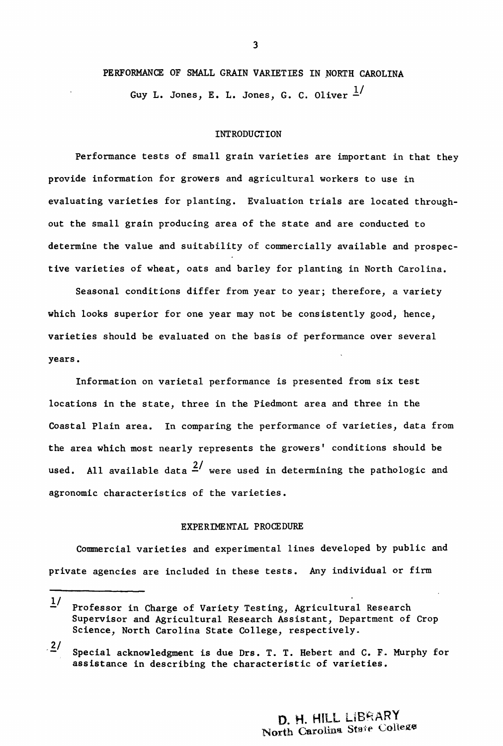## PERFORMANCE OF SMALL GRAIN VARIETIES IN NORTH CAROLINA

Guy L. Jones, E. L. Jones, G. C. Oliver  $\frac{1}{2}$ 

#### INTRODUCTION

Performance tests of small grain varieties are important in that they provide information for growers and agricultural workers to use in evaluating varieties for planting. Evaluation trials are located throughout the small grain producing area of the state and are conducted to determine the value and suitability of commercially available and prospective varieties of wheat, oats and barley for planting in North Carolina.

Seasonal conditions differ from year to year; therefore, a variety which looks superior for one year may not be consistently good, hence, varieties should be evaluated on the basis of performance over several years.

Information on varietal performance is presented from six test locations in the state, three in the Piedmont area and three in the Coastal Plain area. In comparing the performance of varieties, data from the area which most nearly represents the growers' conditions should be used. All available data  $\frac{2}{ }$  were used in determining the pathologic and agronomic characteristics of the varieties.

## EXPERIMENTAL PROCEDURE

Commercial varieties and experimental lines developed by public and private agencies are included in these tests. Any individual or firm

<sup>!/</sup> Professor in Charge of Variety Testing, Agricultural Research Supervisor and Agricultural Research Assistant, Department of Crop Science, North Carolina State College, respectively.

 $2/$ Special acknowledgment is due Drs. T. T. Hebert and C. F. Murphy for assistance in describing the characteristic of varieties.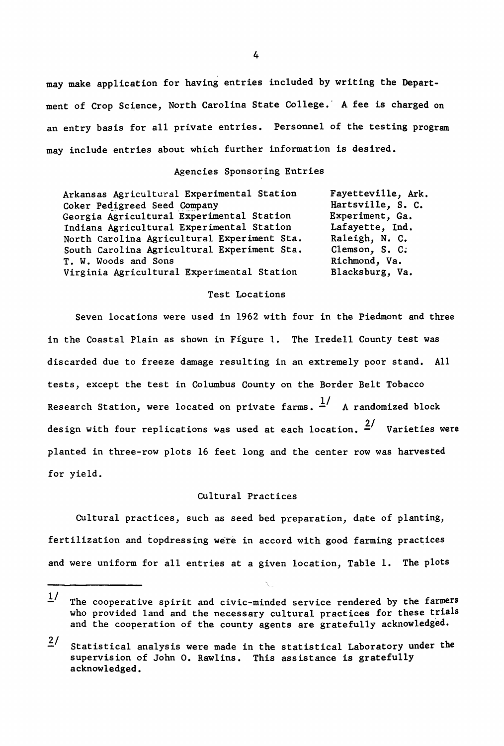may make application for having entries included by writing the Department of Crop Science, North Carolina State College." A fee is charged on an entry basis for all private entries. Personnel of the testing program may include entries about which further information is desired.

## Agencies Sponsoring Entries

Arkansas Agricultural Experimental Station Coker Pedigreed Seed Company Georgia Agricultural Experimental Station Indiana Agricultural Experimental Station North Carolina Agricultural Experiment Sta. South Carolina Agricultural Experiment Sta. T. W. Woods and Sons Virginia Agricultural Experimental Station

Fayetteville, Ark. Hartsville, S. C. Experiment, Ga. Lafayette, Ind. Raleigh, N. C. Clemson, S. C; Richmond, Va. Blacksburg, Va.

## Test Locations

Seven locations were used in 1962 with four in the Piedmont and three in the Coastal Plain as shown in Figure 1. The Iredell County test was discarded due to freeze damage resulting in an extremely poor stand. All tests, except the test in Columbus County on the Border Belt Tobacco Research Station, were located on private farms.  $\frac{1}{x}$  A randomized block design with four replications was used at each location.  $\frac{2}{1}$  Varieties were planted in three-row plots 16 feet long and the center row was harvested for yield.

# Cultural Practices

Cultural practices, such as seed bed preparation, date of planting, fertilization and topdressing were in accord with good farming practices and were uniform for all entries at a given location, Table 1. The plots

 $1/$ The cooperative spirit and civic-minded service rendered by the farmers who provided land and the necessary cultural practices for these trials and the cooperation of the county agents are gratefully acknowledged.

 $2/$  Statistical analysis were made in the statistical Laboratory under the supervision of John o. Rawlins. This assistance is gratefully acknowledged.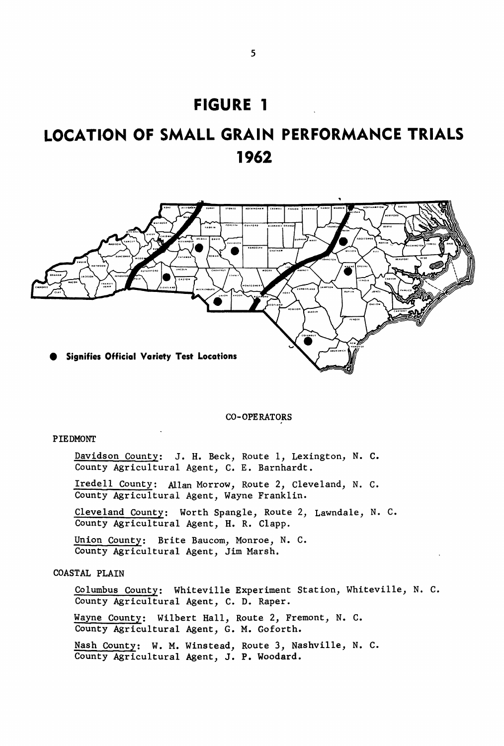# **FIGURE 1**

# **LOCATION OF SMALL GRAIN PERFORMANCE TRIALS 1962**



# CO-OPERATORS

# PIEDMONT

Davidson County: J. H. Beck, Route 1, Lexington, N. C. County Agricultural Agent, C. E. Barnhardt.

Iredell County: Allan Morrow, Route 2, Cleveland, N. C. County Agricultural Agent, Wayne Franklin.

Cleveland County: Worth Spangle, Route 2, Lawndale, N. C. County Agricultural Agent, H. R. Clapp.

Union County: Brite Baucom, Monroe, N. C. County Agricultural Agent, Jim Marsh.

# COASTAL PLAIN

Columbus County: Whiteville Experiment Station, Whiteville, N. C. County Agricultural Agent, C. D. Raper.

Wayne County: Wilbert Hall, Route 2, Fremont, N. C. County Agricultural Agent, G. M. Goforth.

Nash County: W. M. Winstead, Route 3, Nashville, N. C. County Agricultural Agent, J. P. Woodard.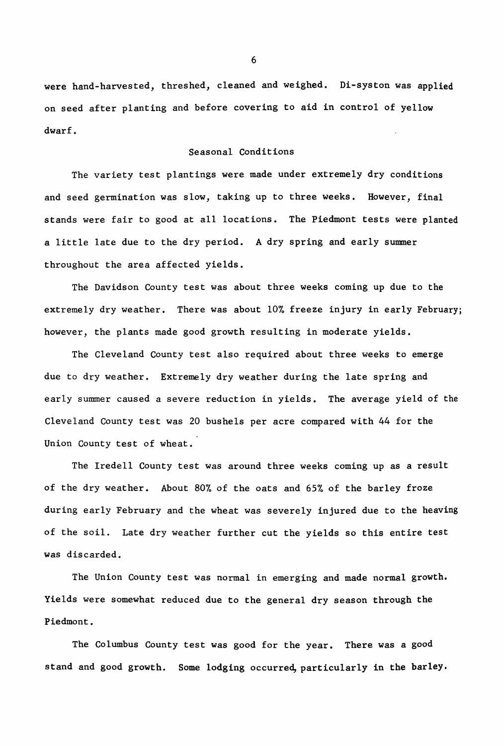were hand-harvested, threshed, cleaned and weighed. Di-syston was applied on seed after planting and before covering to aid in control of yellow dwarf.

## Seasonal Conditions

The variety test plantings were made under extremely dry conditions and seed germination was slow, taking up to three weeks. However, final stands were fair to good at all locations. The Piedmont tests were planted <sup>a</sup> little late due to the dry period. <sup>A</sup> dry spring and early summer throughout the area affected yields.

The Davidson County test was about three weeks coming up due to the extremely dry weather. There was about 10% freeze injury in early February; however, the plants made good growth resulting in moderate yields.

The Cleveland County test also required about three weeks to emerge due to dry weather. Extremely dry weather during the late spring and early summer caused a severe reduction in yields. The average yield of the Cleveland County test was 20 bushels per acre compared with 44 for the Union County test of wheat.

The Iredell County test was around three weeks coming up as a result of the dry weather. About 80% of the oats and 65% of the barley froze during early February and the wheat was severely injured due to the heaving of the soil. Late dry weather further cut the yields so this entire test was discarded.

The Union County test was normal in emerging and made normal growth. Yields were somewhat reduced due to the general dry season through the Piedmont.

The Columbus County test was good for the year. There was a good stand and good growth. Some lodging occurred, particularly in the barley.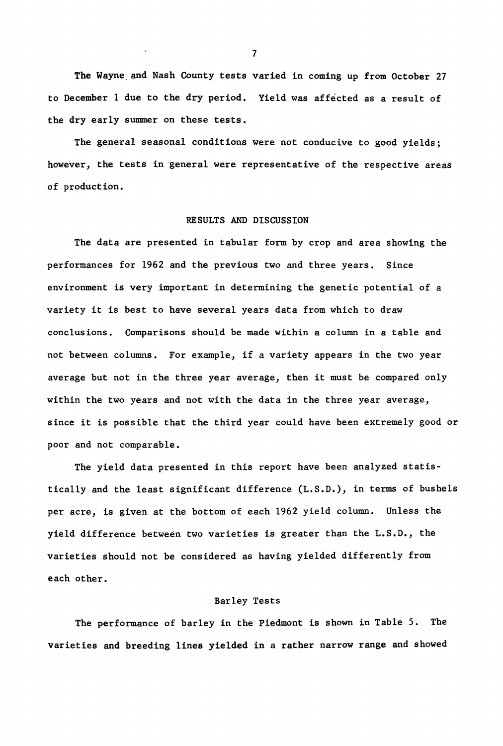The Wayne,and Nash County tests varied in coming up from October 27 to December 1 due to the dry period. Yield was affected as a result of the dry early summer on these tests.

The general seasonal conditions were not conducive to good yields; however, the tests in general were representative of the respective areas of production.

## RESULTS AND DISCUSSION

The data are presented in tabular form by crop and area showing the performances for 1962 and the previous two and three years. Since environment is very important in determining the genetic potential of a variety it is best to have several years data from which to draw conclusions. Comparisons should be made within a column in a table and not between columns. For example, if <sup>a</sup> variety appears in the two year average but not in the three year average, then it must be compared only within the two years and not with the data in the three year average, since it is possible that the third year could have been extremely good or poor and not comparable.

The yield data presented in this report have been analyzed statistically and the least significant difference (L.S.D.), in terms of bushels per acre, is given at the bottom of each 1962 yield column. Unless the yield difference between two varieties is greater than the L.S.D., the varieties should not be considered as having yielded differently from each other.

# Barley Tests

The performance of barley in the Piedmont is shown in Table S. The varieties and breeding lines yielded in a rather narrow range and showed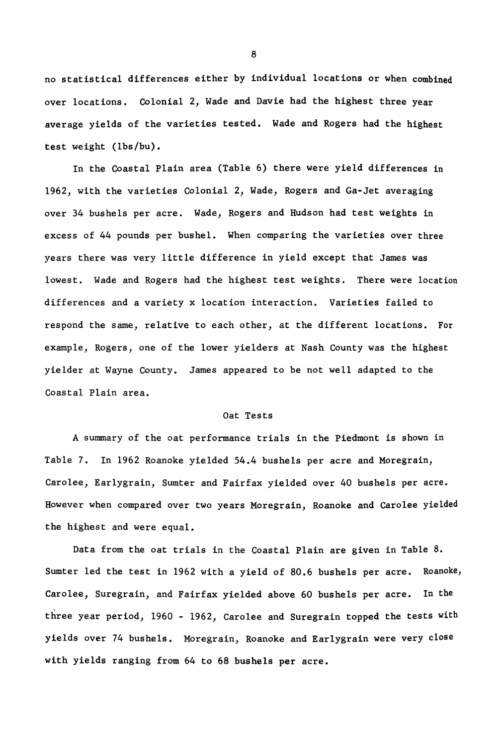no statistical differences either by individual locations or when combined over locations. Colonial 2, Wade and Davie had the highest three year average yields of the varieties tested. Wade and Rogers had the highest test weight (lbs/bu).

In the Coastal Plain area (Table 6) there were yield differences in 1962, with the varieties Colonial 2, Wade, Rogers and Ga-Jet averaging over 34 bushels per acre. Wade, Rogers and Hudson had test weights in excess of 44 pounds per bushel. When comparing the varieties over three years there was very little difference in yield except that James was lowest. Wade and Rogers had the highest test weights. There were location differences and a variety x location interaction. Varieties failed to respond the same, relative to each other, at the different locations. For example, Rogers, one of the lower yielders at Nash County was the highest yielder at Wayne County. James appeared to be not well adapted to the Coastal Plain area.

#### Oat Tests

A summary of the oat performance trials in the Piedmont is shown in Table 7. In 1962 Roanoke yielded 54.4 bushels per acre and Moregrain, Caro1ee, Ear1ygrain, Sumter and Fairfax yielded over 40 bushels per acre. However when compared over two years Moregrain, Roanoke and Carolee yielded the highest and were equal.

Data from the oat trials in the Coastal Plain are given in Table 8. Sumter led the test in 1962 with a yield of 80.6 bushels per acre. Roanoke, Caro1ee, Suregrain, and Fairfax yielded above 60 bushels per acre. In the three year period, 1960 - 1962, Carolee and Suregrain topped the tests with yields over 74 bushels. Moregrain, Roanoke and Ear1ygrain were very close with yields ranging from 64 to 68 bushels per acre.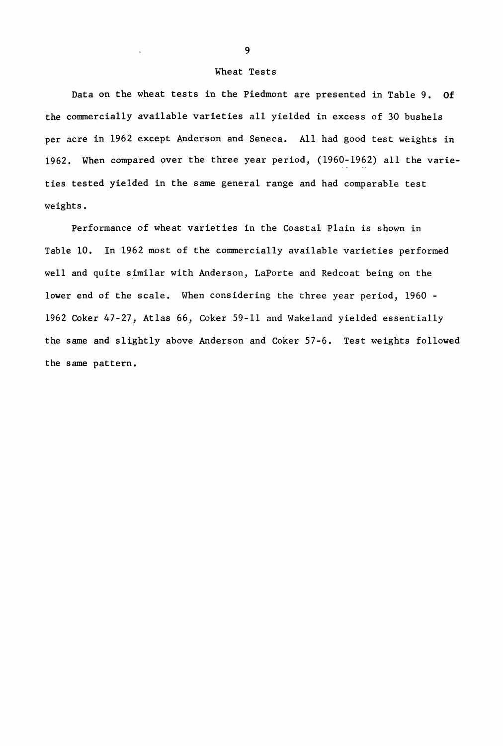## Wheat Tests

Data on the wheat tests in the Piedmont are presented in Table 9. Of the commercially available varieties all yielded in excess of 30 bushels per acre in 1962 except Anderson and Seneca. All had good test weights in 1962. When compared 9ver the three year period, (1960-1962) all the varieties tested yielded in the same general range and had comparable test weights.

Performance of wheat varieties in the Coastal Plain is shown in Table 10. In 1962 most of the commercially available varieties performed well and quite similar with Anderson, LaPorte and Redcoat being on the lower end of the scale. When considering the three year period, 1960 - 1962 Coker 47-27, Atlas 66, Coker 59-11 and Wakeland yielded essentially the same and slightly above Anderson and Coker 57-6. Test weights followed the same pattern.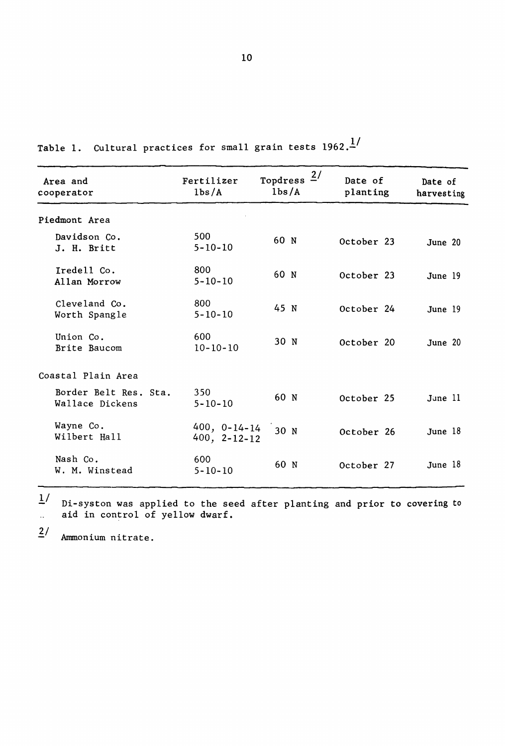| Area and<br>cooperator                   | Fertilizer<br>1 <sub>bs</sub> /A         | Topdress $2/$<br>1 <sub>bs/Å</sub> | Date of<br>planting | Date of<br>harvesting |
|------------------------------------------|------------------------------------------|------------------------------------|---------------------|-----------------------|
| Piedmont Area                            |                                          |                                    |                     |                       |
| Davidson Co.<br>J. H. Britt              | 500<br>$5 - 10 - 10$                     | 60 N                               | October 23          | June 20               |
| Iredell Co.<br>Allan Morrow              | 800<br>$5 - 10 - 10$                     | 60 N                               | October 23          | June 19               |
| Cleveland Co.<br>Worth Spangle           | 800<br>$5 - 10 - 10$                     | 45 N                               | October 24          | June 19               |
| Union Co.<br>Brite Baucom                | 600<br>$10 - 10 - 10$                    | 30 N                               | October 20          | June 20               |
| Coastal Plain Area                       |                                          |                                    |                     |                       |
| Border Belt Res. Sta.<br>Wallace Dickens | 350<br>$5 - 10 - 10$                     | 60 N                               | October 25          | June 11               |
| Wayne Co.<br>Wilbert Hall                | $400, 0 - 14 - 14$<br>$400, 2 - 12 - 12$ | 30 <sub>N</sub>                    | October 26          | June 18               |
| Nash Co.<br>W. M. Winstead               | 600<br>$5 - 10 - 10$                     | 60 N                               | October 27          | June 18               |

Table 1. Cultural practices for small grain tests  $1962 \cdot \frac{1}{1}$ 

 $1/$ Di-syston was applied to the seed after planting and prior to covering to aid in control of yellow dwarf.  $\ddotsc$ 

 $\frac{2}{ }$  Ammonium nitrate.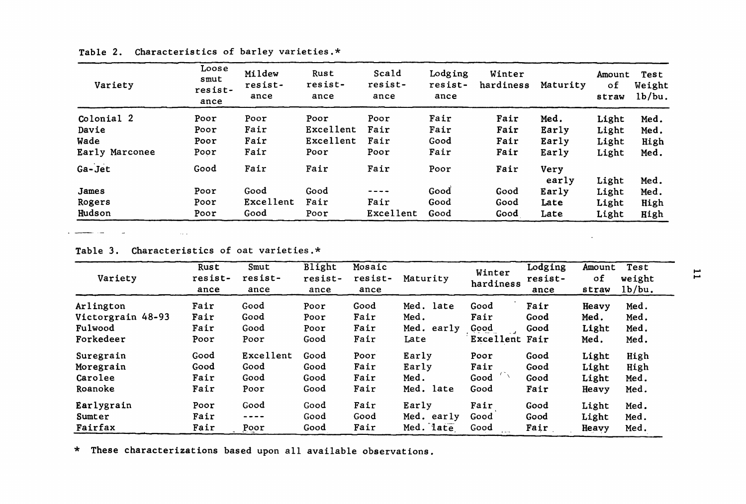| Variety        | Loose<br>smut<br>resist-<br>ance | Mildew<br>resist-<br>ance | Rust<br>resist-<br>ance | Scald<br>resist-<br>ance | Lodging<br>resist-<br>ance | Winter<br>hardiness | Maturity | Amount<br>οf<br>straw | Test<br>Weight<br>1b/bu. |
|----------------|----------------------------------|---------------------------|-------------------------|--------------------------|----------------------------|---------------------|----------|-----------------------|--------------------------|
| Colonial 2     | Poor                             | Poor                      | Poor                    | Poor                     | Fair                       | Fair                | Med.     | Light                 | Med.                     |
| Davie          | Poor                             | Fair                      | Excellent               | Fair                     | Fair                       | Fair                | Early    | Light                 | Med.                     |
| Wade           | Poor                             | Fair                      | Excellent               | Fair                     | Good                       | Fair                | Early    | Light                 | High                     |
| Early Marconee | Poor                             | Fair                      | Poor                    | Poor                     | Fair                       | Fair                | Early    | Light                 | Med.                     |
| Ga-Jet         | Good                             | Fair                      | Fair                    | Fair                     | Poor                       | Fair                | Very     |                       |                          |
|                |                                  |                           |                         |                          |                            |                     | early    | Light                 | Med.                     |
| James          | Poor                             | Good                      | Good                    | ----                     | Good                       | Good                | Early    | Light                 | Med.                     |
| Rogers         | Poor                             | Excellent                 | Fair                    | Fair                     | Good                       | Good                | Late     | Light                 | High                     |
| Hudson         | Poor                             | Good                      | Poor                    | Excellent                | Good                       | Good                | Late     | Light                 | High                     |

Table 2. Characteristics of barley varieties.\*

**Commentary Comments**  $\sim 100$  $\sim 100$ 

Table 3. Characteristics of oat varieties.\*

| Variety           | Rust<br>resist-<br>ance | Smut<br>resist-<br>ance | Blight<br>resist-<br>ance | Mosaic<br>resist-<br>ance | Maturity   | Winter<br>hardiness | Lodging<br>resist-<br>ance | Amount<br>οf<br>straw | Test<br>H<br>weight<br>1b/bu. |
|-------------------|-------------------------|-------------------------|---------------------------|---------------------------|------------|---------------------|----------------------------|-----------------------|-------------------------------|
| Arlington         | Fair                    | Good                    | Poor                      | Good                      | Med. late  | Good                | Fair                       | Heavy                 | Med.                          |
| Victorgrain 48-93 | Fair                    | Good                    | Poor                      | Fair                      | Med.       | Fair                | Good                       | Med.                  | Med.                          |
| Fulwood           | Fair                    | Good                    | Poor                      | Fair                      | Med. early | Good                | Good                       | Light                 | Med.                          |
| Forkedeer         | Poor                    | Poor                    | Good                      | Fair                      | Late       | Excellent Fair      |                            | Med.                  | Med.                          |
| Suregrain         | Good                    | Excellent               | Good                      | Poor                      | Early      | Poor                | Good                       | Light                 | High                          |
| Moregrain         | Good                    | Good                    | Good                      | Fair                      | Early      | Fair                | Good                       | Light                 | High                          |
| Carolee           | Fair                    | Good                    | Good                      | Fair                      | Med.       | Good                | Good                       | Light                 | Med.                          |
| Roanoke           | Fair                    | Poor                    | Good                      | Fair                      | Med. late  | Good                | Fair                       | Heavy                 | Med.                          |
| Earlygrain        | Poor                    | Good                    | Good                      | Fair                      | Early      | Fair                | Good                       | Light                 | Med.                          |
| Sumter            | Fair                    | $- - - -$               | Good                      | Good                      | Med. early | Good                | Good                       | Light                 | Med.                          |
| Fairfax           | Fair                    | Poor                    | Good                      | Fair                      | Med. late  | Good                | Fair                       | Heavy                 | Med.                          |

\* These characterizations based upon all available observations.

**Contractor**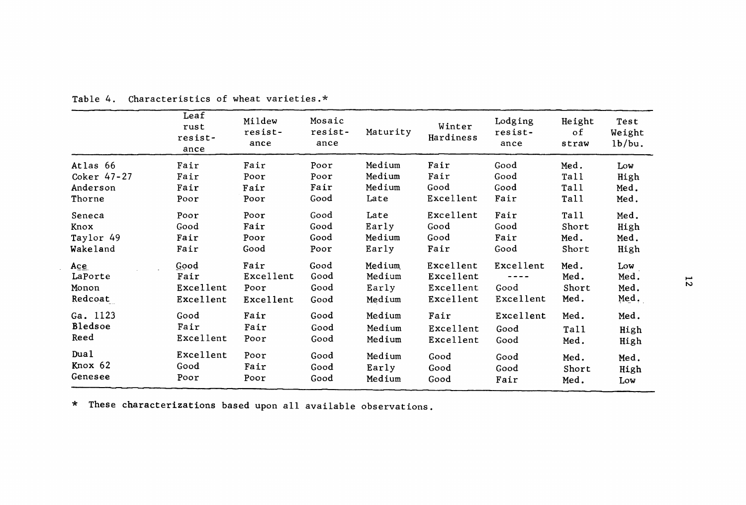|             | Leaf<br>rust<br>resist-<br>ance | Mildew<br>resist-<br>ance | Mosaic<br>resist-<br>ance | Maturity | Winter<br>Hardiness | Lodging<br>resist-<br>ance | Height<br>of<br>straw | Test<br>Weight<br>1b/bu. |    |
|-------------|---------------------------------|---------------------------|---------------------------|----------|---------------------|----------------------------|-----------------------|--------------------------|----|
| Atlas 66    | Fair                            | Fair                      | Poor                      | Medium   | Fair                | Good                       | Med.                  | Low                      |    |
| Coker 47-27 | Fair                            | Poor                      | Poor                      | Medium   | Fair                | Good                       | Tall                  | High                     |    |
| Anderson    | Fair                            | Fair                      | Fair                      | Medium   | Good                | Good                       | Tall                  | Med.                     |    |
| Thorne      | Poor                            | Poor                      | Good                      | Late     | Excellent           | Fair                       | Tall                  | Med.                     |    |
| Seneca      | Poor                            | Poor                      | Good                      | Late     | Excellent           | Fair                       | Tall                  | Med.                     |    |
| Knox        | Good                            | Fair                      | Good                      | Early    | Good                | Good                       | Short                 | High                     |    |
| Taylor 49   | Fair                            | Poor                      | Good                      | Medium   | Good                | Fair                       | Med.                  | Med.                     |    |
| Wakeland    | Fair                            | Good                      | Poor                      | Early    | Fair                | Good                       | Short                 | High                     |    |
| Ace         | Good                            | Fair                      | Good                      | Medium   | Excellent           | Excellent                  | Med.                  | Low                      |    |
| LaPorte     | Fair                            | Excellent                 | Good                      | Medium   | Excellent           |                            | Med.                  | Med.                     | 77 |
| Monon       | Excellent                       | Poor                      | Good                      | Early    | Excellent           | Good                       | Short                 | Med.                     |    |
| Redcoat     | Excellent                       | Excellent                 | Good                      | Medium   | Excellent           | Excellent                  | Med.                  | Med.                     |    |
| Ga. 1123    | Good                            | Fair                      | Good                      | Medium   | Fair                | Excellent                  | Med.                  | Med.                     |    |
| Bledsoe     | Fair                            | Fair                      | Good                      | Medium   | Excellent           | Good                       | Tall                  | High                     |    |
| Reed        | Excellent                       | Poor                      | Good                      | Medium   | Excellent           | Good                       | Med.                  | High                     |    |
| Dual        | Excellent                       | Poor                      | Good                      | Medium   | Good                | Good                       | Med.                  | Med.                     |    |
| Knox 62     | Good                            | Fair                      | Good                      | Early    | Good                | Good                       | Short                 | High                     |    |
| Genesee     | Poor                            | Poor                      | Good                      | Medium   | Good                | Fair                       | Med.                  | Low                      |    |
|             |                                 |                           |                           |          |                     |                            |                       |                          |    |

Table 4. Characteristics of wheat varieties.\*

 $\sim$ 

\* These characterizations based upon all available observations.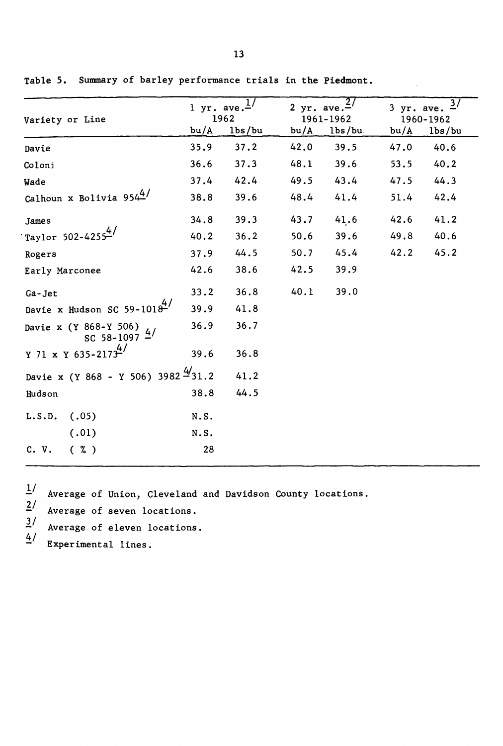| Variety or Line                                 | $1 \text{ yr}$ . ave.- | 1962                | 2 yr. ave. | 1961-1962 |      | $3$ yr. ave.<br>1960-1962 |  |  |
|-------------------------------------------------|------------------------|---------------------|------------|-----------|------|---------------------------|--|--|
|                                                 | bu/A                   | 1 <sub>bs</sub> /bu | bu/A       | 1bs/bu    | bu/A | 1 <sub>bs</sub> /bu       |  |  |
| Davie                                           | 35.9                   | 37.2                | 42.0       | 39.5      | 47.0 | 40.6                      |  |  |
| Coloni                                          | 36.6                   | 37.3                | 48.1       | 39.6      | 53.5 | 40.2                      |  |  |
| Wade                                            | 37.4                   | 42.4                | 49.5       | 43.4      | 47.5 | 44.3                      |  |  |
| Calhoun x Bolivia $954^{4/7}$                   | 38.8                   | 39.6                | 48.4       | 41.4      | 51.4 | 42.4                      |  |  |
| James                                           | 34.8                   | 39.3                | 43.7       | 41.6      | 42.6 | 41.2                      |  |  |
| Taylor 502-42554/                               | 40.2                   | 36.2                | 50.6       | 39.6      | 49.8 | 40.6                      |  |  |
| Rogers                                          | 37.9                   | 44.5                | 50.7       | 45.4      | 42.2 | 45.2                      |  |  |
| Early Marconee                                  | 42.6                   | 38.6                | 42.5       | 39.9      |      |                           |  |  |
| Ga-Jet                                          | 33.2                   | 36.8                | 40.1       | 39.0      |      |                           |  |  |
| Davie x Hudson SC 59-1018 $\frac{4}{3}$         | 39.9                   | 41.8                |            |           |      |                           |  |  |
| Davie x (Y 868-Y 506)<br>SC 58-1097 $4/$        | 36.9                   | 36.7                |            |           |      |                           |  |  |
| Y 71 x Y 635-2173 <sup>4/</sup>                 | 39.6                   | 36.8                |            |           |      |                           |  |  |
| Davie x (Y 868 - Y 506) 3982 $\frac{4}{3}$ 31.2 |                        | 41.2                |            |           |      |                           |  |  |
| Hudson                                          | 38.8                   | 44.5                |            |           |      |                           |  |  |
| (.05)<br>L.S.D.                                 | N.S.                   |                     |            |           |      |                           |  |  |
| (.01)                                           | N.S.                   |                     |            |           |      |                           |  |  |
| $(\% )$<br>C. V.                                | 28                     |                     |            |           |      |                           |  |  |

Table 5. Summary of barley performance trials in the Piedmont.

 $\frac{1}{2}$  Average of Union, Cleveland and Davidson County locations.<br>  $\frac{2}{3}$  Average of seven locations.<br>
Average of eleven locations.

```
Average of seven locations.
```
 $\frac{3}{4}$  Average of eleven locations.

Experimental lines.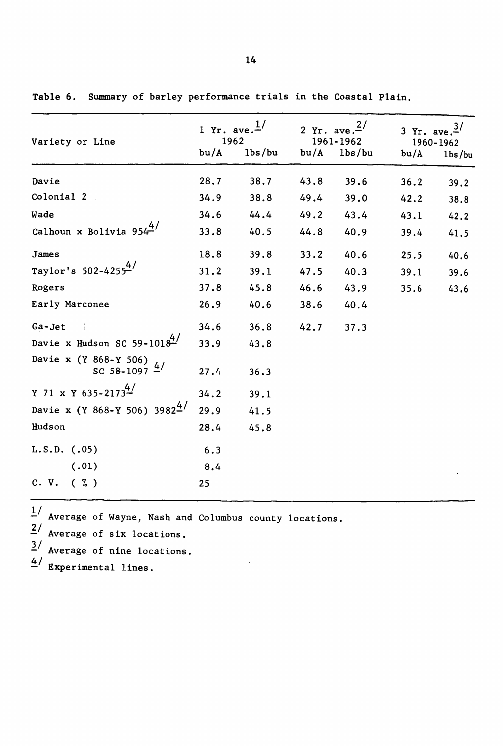| Variety or Line                                   | 1 Yr. ave. $\frac{1}{ }$<br>1962 |        | 2 Yr. ave. $2^{1/2}$ | 1961-1962           | 3 Yr. ave. $\frac{3}{2}$<br>1960-1962 |                                 |  |
|---------------------------------------------------|----------------------------------|--------|----------------------|---------------------|---------------------------------------|---------------------------------|--|
|                                                   | bu/A                             | 1bs/bu | bu/A                 | 1 <sub>bs</sub> /bu | bu/A                                  | 1 <sub>bs</sub> / <sub>bu</sub> |  |
| Davie                                             | 28.7                             | 38.7   | 43.8                 | 39.6                | 36.2                                  | 39.2                            |  |
| Colonial 2                                        | 34.9                             | 38.8   | 49.4                 | 39.0                | 42.2                                  | 38.8                            |  |
| Wade                                              | 34.6                             | 44.4   | 49.2                 | 43.4                | 43.1                                  | 42.2                            |  |
| Calhoun x Bolivia $954^{4/7}$                     | 33.8                             | 40.5   | 44.8                 | 40.9                | 39.4                                  | 41.5                            |  |
| James                                             | 18.8                             | 39.8   | 33.2                 | 40.6                | 25.5                                  | 40.6                            |  |
| Taylor's 502-4255 <sup>4/</sup>                   | 31.2                             | 39.1   | 47.5                 | 40.3                | 39.1                                  | 39.6                            |  |
| Rogers                                            | 37.8                             | 45.8   | 46.6                 | 43.9                | 35.6                                  | 43.6                            |  |
| Early Marconee                                    | 26.9                             | 40.6   | 38.6                 | 40.4                |                                       |                                 |  |
| Ga-Jet                                            | 34.6                             | 36.8   | 42.7                 | 37.3                |                                       |                                 |  |
| Davie x Hudson SC 59-10184/                       | 33.9                             | 43.8   |                      |                     |                                       |                                 |  |
| Davie x (Y 868-Y 506)<br>SC 58-1097 $\frac{4}{ }$ | 27.4                             | 36.3   |                      |                     |                                       |                                 |  |
| Y 71 x Y 635-2173 <sup>4/</sup>                   | 34.2                             | 39.1   |                      |                     |                                       |                                 |  |
| Davie x (Y 868-Y 506) 3982 <sup>4/</sup>          | 29.9                             | 41.5   |                      |                     |                                       |                                 |  |
| Hudson                                            | 28.4                             | 45.8   |                      |                     |                                       |                                 |  |
| $L.S.D.$ (.05)                                    | 6.3                              |        |                      |                     |                                       |                                 |  |
| (.01)                                             | 8.4                              |        |                      |                     |                                       |                                 |  |
| C. V. (2)                                         | 25                               |        |                      |                     |                                       |                                 |  |

Table 6. Summary of barley performance trials in the Coastal Plain.

 $\frac{1}{4}$  Average of Wayne, Nash and Columbus county locations.

 $\frac{2}{\pi}$  Average of six locations.

*1/* Average of nine locations.

 $4/$  Experimental lines.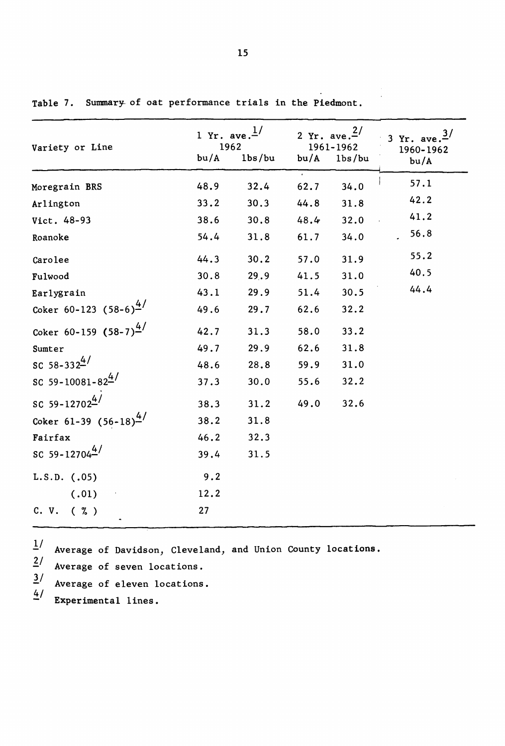| Variety or Line                     | 1 Yr. ave. $\frac{1}{ }$<br>1962<br>bu/A | 1 <sub>bs</sub> /bu | bu/A | 2 Yr. ave. $2^{1/2}$<br>1961-1962<br>lbs/bu | 3 Yr. ave. $\frac{3}{ }$<br>1960-1962<br>bu/A |
|-------------------------------------|------------------------------------------|---------------------|------|---------------------------------------------|-----------------------------------------------|
| Moregrain BRS                       | 48.9                                     | 32.4                | 62.7 | 34.0                                        | 57.1                                          |
| Arlington                           | 33.2                                     | 30.3                | 44.8 | 31.8                                        | 42.2                                          |
| Vict. 48-93                         | 38.6                                     | 30.8                | 48.4 | 32.0                                        | 41.2                                          |
| Roanoke                             | 54.4                                     | 31.8                | 61.7 | 34.0                                        | 56.8                                          |
| Carolee                             | 44.3                                     | 30.2                | 57.0 | 31.9                                        | 55.2                                          |
| Fulwood                             | 30.8                                     | 29.9                | 41.5 | 31.0                                        | 40.5                                          |
| Earlygrain                          | 43.1                                     | 29.9                | 51.4 | 30.5                                        | 44.4                                          |
| Coker 60-123 $(58-6)^{4/2}$         | 49.6                                     | 29.7                | 62.6 | 32.2                                        |                                               |
| Coker 60-159 $(58-7)^{\frac{4}{5}}$ | 42.7                                     | 31.3                | 58.0 | 33.2                                        |                                               |
| Sumter                              | 49.7                                     | 29.9                | 62.6 | 31.8                                        |                                               |
| SC 58-3324/                         | 48.6                                     | 28.8                | 59.9 | 31.0                                        |                                               |
| SC 59-10081-82 $^{4/}$              | 37.3                                     | 30.0                | 55.6 | 32.2                                        |                                               |
| SC 59-12702 $^{4/}$                 | 38.3                                     | 31.2                | 49.0 | 32.6                                        |                                               |
| Coker 61-39 $(56-18)^{\frac{4}{1}}$ | 38.2                                     | 31.8                |      |                                             |                                               |
| Fairfax                             | 46.2                                     | 32.3                |      |                                             |                                               |
| SC 59-12704 <sup>4/</sup>           | 39.4                                     | 31.5                |      |                                             |                                               |
| $L.S.D.$ (.05)                      | 9.2                                      |                     |      |                                             |                                               |
| (.01)                               | 12.2                                     |                     |      |                                             |                                               |
| C. V.<br>$(\% )$                    | 27                                       |                     |      |                                             |                                               |

Table 7. Summary of oat performance trials in the Piedmont.

 $\frac{1}{4}$  Average of Davidson, Cleveland, and Union County locations.

Average of seven locations.  $\frac{2}{ }$ 

Average of eleven locations.  $\frac{3}{2}$ 

Experimental lines.  $4/$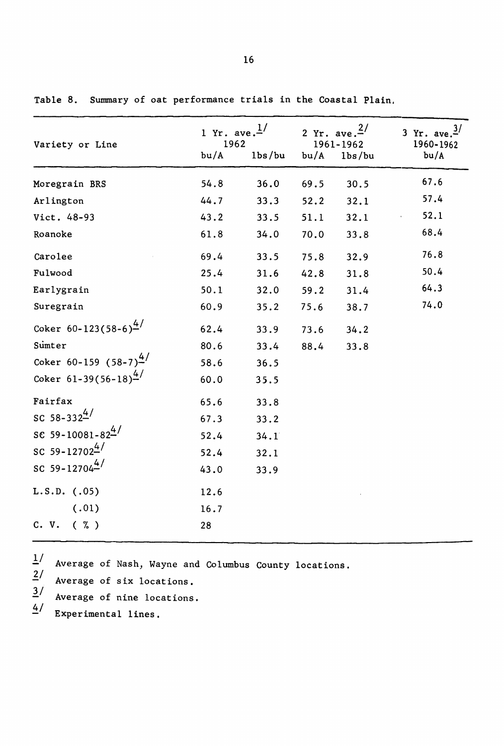| Variety or Line                    | 1 Yr. ave. $^{1/2}$<br>1962<br>bu/A | 1 <sub>bs</sub> /bu | bu/A | 2 Yr. ave. $\frac{2}{ }$<br>1961-1962<br>1 <sub>bs</sub> /bu | 3 Yr. ave. $\frac{3}{ }$<br>1960-1962<br>bu/A |
|------------------------------------|-------------------------------------|---------------------|------|--------------------------------------------------------------|-----------------------------------------------|
| Moregrain BRS                      | 54.8                                | 36.0                | 69.5 | 30.5                                                         | 67.6                                          |
| Arlington                          | 44.7                                | 33.3                | 52.2 | 32.1                                                         | 57.4                                          |
| Vict. 48-93                        | 43.2                                | 33.5                | 51.1 | 32.1                                                         | 52.1                                          |
| Roanoke                            | 61.8                                | 34.0                | 70.0 | 33.8                                                         | 68.4                                          |
| Carolee                            | 69.4                                | 33.5                | 75.8 | 32.9                                                         | 76.8                                          |
| Fulwood                            | 25.4                                | 31.6                | 42.8 | 31.8                                                         | 50.4                                          |
| Earlygrain                         | 50.1                                | 32.0                | 59.2 | 31.4                                                         | 64.3                                          |
| Suregrain                          | 60.9                                | 35.2                | 75.6 | 38.7                                                         | 74.0                                          |
| Coker 60-123(58-6) <sup>4/</sup>   | 62.4                                | 33.9                | 73.6 | 34.2                                                         |                                               |
| Sumter                             | 80.6                                | 33.4                | 88.4 | 33.8                                                         |                                               |
| Coker 60-159 $(58-7)^{4/7}$        | 58.6                                | 36.5                |      |                                                              |                                               |
| Coker $61-39(56-18)^{\frac{4}{5}}$ | 60.0                                | 35.5                |      |                                                              |                                               |
| Fairfax                            | 65.6                                | 33.8                |      |                                                              |                                               |
| SC 58-332 <sup>4/</sup>            | 67.3                                | 33.2                |      |                                                              |                                               |
| SC 59-10081-82 <sup>4/</sup>       | 52.4                                | 34.1                |      |                                                              |                                               |
| SC 59-12702 <sup>4/</sup>          | 52.4                                | 32.1                |      |                                                              |                                               |
| SC 59-12704 $^{4/}$                | 43.0                                | 33.9                |      |                                                              |                                               |
| $L.S.D.$ $(.05)$                   | 12.6                                |                     |      |                                                              |                                               |
| (.01)                              | 16.7                                |                     |      |                                                              |                                               |
| C. V.<br>$(\% )$                   | 28                                  |                     |      |                                                              |                                               |

Table 8. Summary of oat performance trials in the Coastal Plain.

Average of Nash, Wayne and Columbus County locations.

Average of six locations. 1:.1

- Average of nine locations.  $\overline{3}$ /
- Experimental lines.  $4/$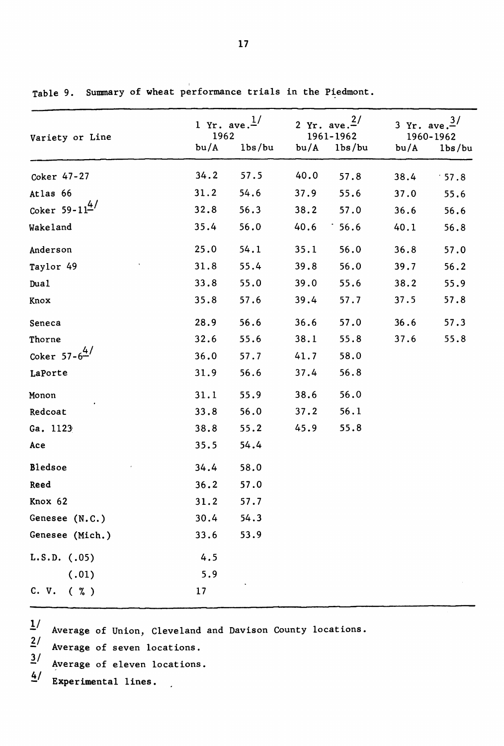|                              | 1 Yr. ave. $\frac{1}{ }$ |                     | 2 Yr. ave. $\frac{2}{ }$ |                     | 3 Yr. ave. $\frac{3}{ }$ |        |  |
|------------------------------|--------------------------|---------------------|--------------------------|---------------------|--------------------------|--------|--|
| Variety or Line              | 1962<br>bu/A             | 1 <sub>bs</sub> /bu | 1961-1962<br>bu/A        | 1 <sub>bs</sub> /bu | 1960-1962<br>bu/A        | 1bs/bu |  |
|                              |                          |                     |                          |                     |                          |        |  |
| Coker 47-27                  | 34.2                     | 57.5                | 40.0                     | 57.8                | 38.4                     | 57.8   |  |
| Atlas 66                     | 31.2                     | 54.6                | 37.9                     | 55.6                | 37.0                     | 55.6   |  |
| Coker $59-11^{4/7}$          | 32.8                     | 56.3                | 38.2                     | 57.0                | 36.6                     | 56.6   |  |
| Wakeland                     | 35.4                     | 56.0                | 40.6                     | 56.6                | 40.1                     | 56.8   |  |
| Anderson                     | 25.0                     | 54.1                | 35.1                     | 56.0                | 36.8                     | 57.0   |  |
| Taylor 49                    | 31.8                     | 55.4                | 39.8                     | 56.0                | 39.7                     | 56.2   |  |
| Dua1                         | 33.8                     | 55.0                | 39.0                     | 55.6                | 38.2                     | 55.9   |  |
| Knox                         | 35.8                     | 57.6                | 39.4                     | 57.7                | 37.5                     | 57.8   |  |
| Seneca                       | 28.9                     | 56.6                | 36.6                     | 57.0                | 36.6                     | 57.3   |  |
| Thorne                       | 32.6                     | 55.6                | 38.1                     | 55.8                | 37.6                     | 55.8   |  |
| Coker $57 - 6^{\frac{4}{5}}$ | 36.0                     | 57.7                | 41.7                     | 58.0                |                          |        |  |
| LaPorte                      | 31.9                     | 56.6                | 37.4                     | 56.8                |                          |        |  |
| Monon                        | 31.1                     | 55.9                | 38.6                     | 56.0                |                          |        |  |
| Redcoat                      | 33.8                     | 56.0                | 37.2                     | 56.1                |                          |        |  |
| Ga. 1123                     | 38.8                     | 55.2                | 45.9                     | 55.8                |                          |        |  |
| Ace                          | 35.5                     | 54.4                |                          |                     |                          |        |  |
| Bledsoe                      | 34.4                     | 58.0                |                          |                     |                          |        |  |
| Reed                         | 36.2                     | 57.0                |                          |                     |                          |        |  |
| Knox 62                      | 31.2                     | 57.7                |                          |                     |                          |        |  |
| Genesee (N.C.)               | 30.4                     | 54.3                |                          |                     |                          |        |  |
| Genesee (Mich.)              | 33.6                     | 53.9                |                          |                     |                          |        |  |
| $L.S.D.$ $(.05)$             | 4.5                      |                     |                          |                     |                          |        |  |
| (.01)                        | 5.9                      |                     |                          |                     |                          |        |  |
| C. V.<br>$(\% )$             | 17                       |                     |                          |                     |                          |        |  |

Table 9. Summary of wheat performance trials in the Piedmont.

 $1/$  Average of Union, Cleveland and Davison County locations.

Average of seven locations.  $2/$ 

Average of eleven locations.  $\frac{3}{2}$ 

Experimental lines.  $\overline{4}$  /